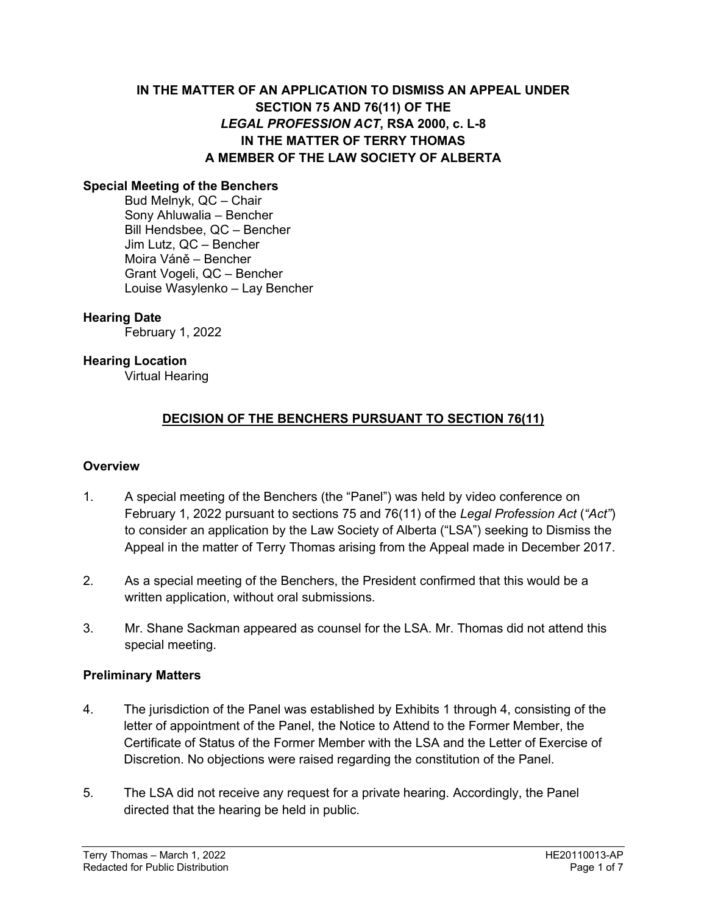# **IN THE MATTER OF AN APPLICATION TO DISMISS AN APPEAL UNDER SECTION 75 AND 76(11) OF THE**  *LEGAL PROFESSION ACT***, RSA 2000, c. L-8 IN THE MATTER OF TERRY THOMAS A MEMBER OF THE LAW SOCIETY OF ALBERTA**

#### **Special Meeting of the Benchers**

Bud Melnyk, QC – Chair Sony Ahluwalia – Bencher Bill Hendsbee, QC – Bencher Jim Lutz, QC – Bencher Moira Váně – Bencher Grant Vogeli, QC – Bencher Louise Wasylenko – Lay Bencher

#### **Hearing Date**

February 1, 2022

#### **Hearing Location**

Virtual Hearing

### **DECISION OF THE BENCHERS PURSUANT TO SECTION 76(11)**

#### **Overview**

- 1. A special meeting of the Benchers (the "Panel") was held by video conference on February 1, 2022 pursuant to sections 75 and 76(11) of the *Legal Profession Act* (*"Act"*) to consider an application by the Law Society of Alberta ("LSA") seeking to Dismiss the Appeal in the matter of Terry Thomas arising from the Appeal made in December 2017.
- 2. As a special meeting of the Benchers, the President confirmed that this would be a written application, without oral submissions.
- 3. Mr. Shane Sackman appeared as counsel for the LSA. Mr. Thomas did not attend this special meeting.

#### **Preliminary Matters**

- 4. The jurisdiction of the Panel was established by Exhibits 1 through 4, consisting of the letter of appointment of the Panel, the Notice to Attend to the Former Member, the Certificate of Status of the Former Member with the LSA and the Letter of Exercise of Discretion. No objections were raised regarding the constitution of the Panel.
- 5. The LSA did not receive any request for a private hearing. Accordingly, the Panel directed that the hearing be held in public.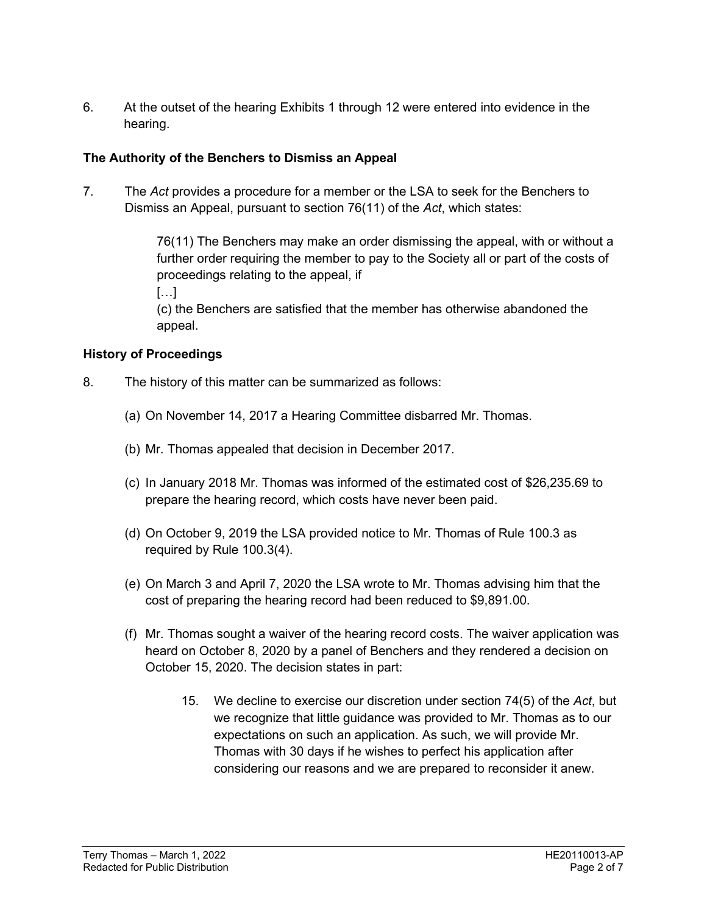6. At the outset of the hearing Exhibits 1 through 12 were entered into evidence in the hearing.

### **The Authority of the Benchers to Dismiss an Appeal**

7. The *Act* provides a procedure for a member or the LSA to seek for the Benchers to Dismiss an Appeal, pursuant to section 76(11) of the *Act*, which states:

> 76(11) The Benchers may make an order dismissing the appeal, with or without a further order requiring the member to pay to the Society all or part of the costs of proceedings relating to the appeal, if

[…]

(c) the Benchers are satisfied that the member has otherwise abandoned the appeal.

#### **History of Proceedings**

- 8. The history of this matter can be summarized as follows:
	- (a) On November 14, 2017 a Hearing Committee disbarred Mr. Thomas.
	- (b) Mr. Thomas appealed that decision in December 2017.
	- (c) In January 2018 Mr. Thomas was informed of the estimated cost of \$26,235.69 to prepare the hearing record, which costs have never been paid.
	- (d) On October 9, 2019 the LSA provided notice to Mr. Thomas of Rule 100.3 as required by Rule 100.3(4).
	- (e) On March 3 and April 7, 2020 the LSA wrote to Mr. Thomas advising him that the cost of preparing the hearing record had been reduced to \$9,891.00.
	- (f) Mr. Thomas sought a waiver of the hearing record costs. The waiver application was heard on October 8, 2020 by a panel of Benchers and they rendered a decision on October 15, 2020. The decision states in part:
		- 15. We decline to exercise our discretion under section 74(5) of the *Act*, but we recognize that little guidance was provided to Mr. Thomas as to our expectations on such an application. As such, we will provide Mr. Thomas with 30 days if he wishes to perfect his application after considering our reasons and we are prepared to reconsider it anew.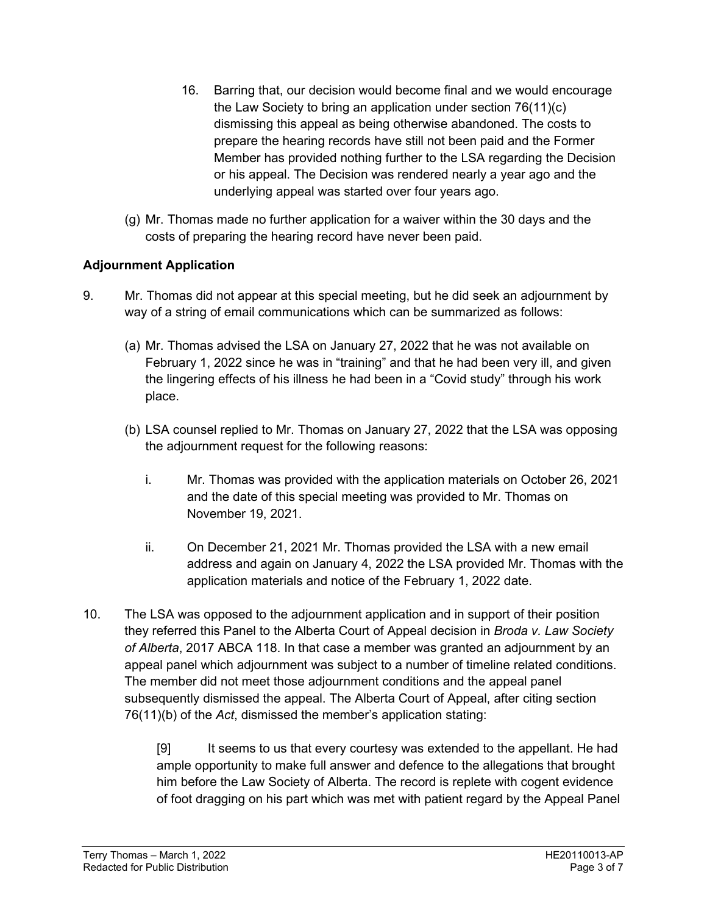- 16. Barring that, our decision would become final and we would encourage the Law Society to bring an application under section 76(11)(c) dismissing this appeal as being otherwise abandoned. The costs to prepare the hearing records have still not been paid and the Former Member has provided nothing further to the LSA regarding the Decision or his appeal. The Decision was rendered nearly a year ago and the underlying appeal was started over four years ago.
- (g) Mr. Thomas made no further application for a waiver within the 30 days and the costs of preparing the hearing record have never been paid.

# **Adjournment Application**

- 9. Mr. Thomas did not appear at this special meeting, but he did seek an adjournment by way of a string of email communications which can be summarized as follows:
	- (a) Mr. Thomas advised the LSA on January 27, 2022 that he was not available on February 1, 2022 since he was in "training" and that he had been very ill, and given the lingering effects of his illness he had been in a "Covid study" through his work place.
	- (b) LSA counsel replied to Mr. Thomas on January 27, 2022 that the LSA was opposing the adjournment request for the following reasons:
		- i. Mr. Thomas was provided with the application materials on October 26, 2021 and the date of this special meeting was provided to Mr. Thomas on November 19, 2021.
		- ii. On December 21, 2021 Mr. Thomas provided the LSA with a new email address and again on January 4, 2022 the LSA provided Mr. Thomas with the application materials and notice of the February 1, 2022 date.
- 10. The LSA was opposed to the adjournment application and in support of their position they referred this Panel to the Alberta Court of Appeal decision in *Broda v. Law Society of Alberta*, 2017 ABCA 118. In that case a member was granted an adjournment by an appeal panel which adjournment was subject to a number of timeline related conditions. The member did not meet those adjournment conditions and the appeal panel subsequently dismissed the appeal. The Alberta Court of Appeal, after citing section 76(11)(b) of the *Act*, dismissed the member's application stating:

[9] It seems to us that every courtesy was extended to the appellant. He had ample opportunity to make full answer and defence to the allegations that brought him before the Law Society of Alberta. The record is replete with cogent evidence of foot dragging on his part which was met with patient regard by the Appeal Panel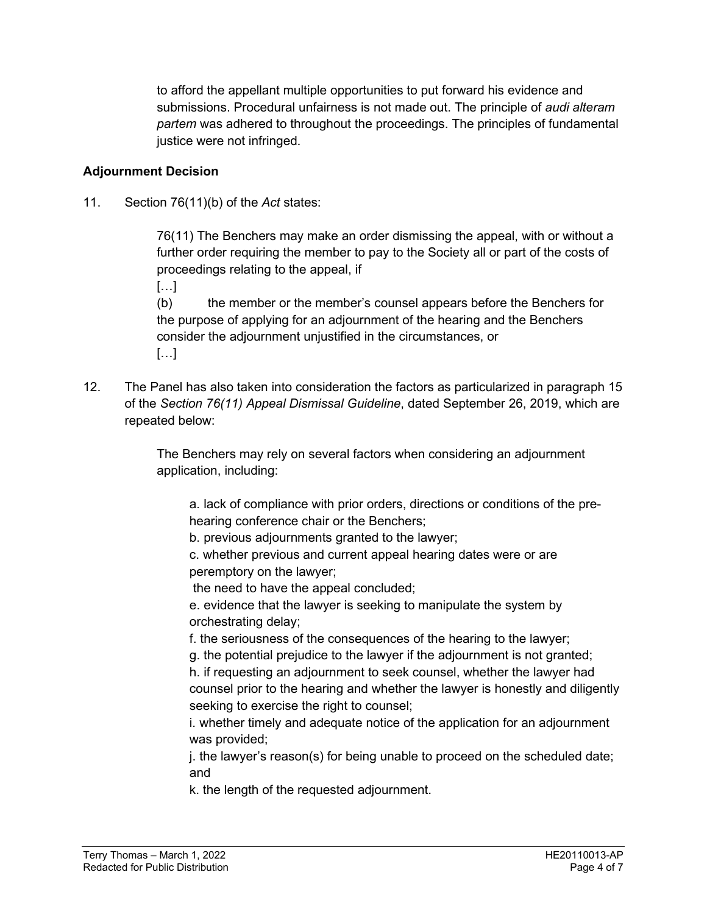to afford the appellant multiple opportunities to put forward his evidence and submissions. Procedural unfairness is not made out. The principle of *audi alteram partem* was adhered to throughout the proceedings. The principles of fundamental justice were not infringed.

### **Adjournment Decision**

11. Section 76(11)(b) of the *Act* states:

76(11) The Benchers may make an order dismissing the appeal, with or without a further order requiring the member to pay to the Society all or part of the costs of proceedings relating to the appeal, if

[…]

(b) the member or the member's counsel appears before the Benchers for the purpose of applying for an adjournment of the hearing and the Benchers consider the adjournment unjustified in the circumstances, or […]

12. The Panel has also taken into consideration the factors as particularized in paragraph 15 of the *Section 76(11) Appeal Dismissal Guideline*, dated September 26, 2019, which are repeated below:

> The Benchers may rely on several factors when considering an adjournment application, including:

a. lack of compliance with prior orders, directions or conditions of the prehearing conference chair or the Benchers;

b. previous adjournments granted to the lawyer;

c. whether previous and current appeal hearing dates were or are peremptory on the lawyer;

the need to have the appeal concluded;

e. evidence that the lawyer is seeking to manipulate the system by orchestrating delay;

f. the seriousness of the consequences of the hearing to the lawyer;

g. the potential prejudice to the lawyer if the adjournment is not granted;

h. if requesting an adjournment to seek counsel, whether the lawyer had counsel prior to the hearing and whether the lawyer is honestly and diligently seeking to exercise the right to counsel;

i. whether timely and adequate notice of the application for an adjournment was provided;

j. the lawyer's reason(s) for being unable to proceed on the scheduled date; and

k. the length of the requested adjournment.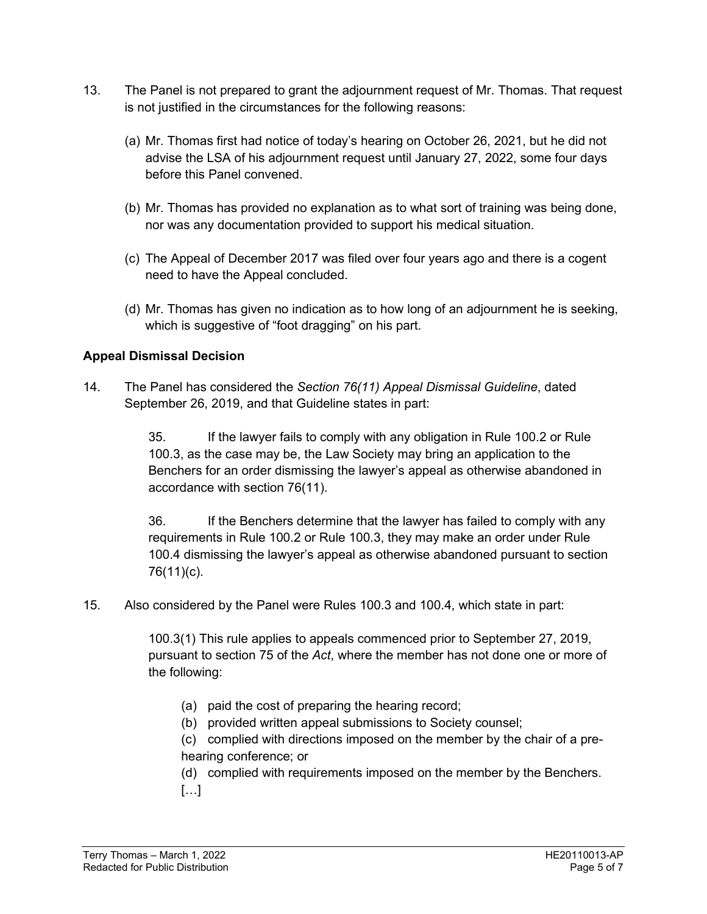- 13. The Panel is not prepared to grant the adjournment request of Mr. Thomas. That request is not justified in the circumstances for the following reasons:
	- (a) Mr. Thomas first had notice of today's hearing on October 26, 2021, but he did not advise the LSA of his adjournment request until January 27, 2022, some four days before this Panel convened.
	- (b) Mr. Thomas has provided no explanation as to what sort of training was being done, nor was any documentation provided to support his medical situation.
	- (c) The Appeal of December 2017 was filed over four years ago and there is a cogent need to have the Appeal concluded.
	- (d) Mr. Thomas has given no indication as to how long of an adjournment he is seeking, which is suggestive of "foot dragging" on his part.

### **Appeal Dismissal Decision**

14. The Panel has considered the *Section 76(11) Appeal Dismissal Guideline*, dated September 26, 2019, and that Guideline states in part:

> 35. If the lawyer fails to comply with any obligation in Rule 100.2 or Rule 100.3, as the case may be, the Law Society may bring an application to the Benchers for an order dismissing the lawyer's appeal as otherwise abandoned in accordance with section 76(11).

36. If the Benchers determine that the lawyer has failed to comply with any requirements in Rule 100.2 or Rule 100.3, they may make an order under Rule 100.4 dismissing the lawyer's appeal as otherwise abandoned pursuant to section 76(11)(c).

15. Also considered by the Panel were Rules 100.3 and 100.4, which state in part:

100.3(1) This rule applies to appeals commenced prior to September 27, 2019, pursuant to section 75 of the *Act*, where the member has not done one or more of the following:

- (a) paid the cost of preparing the hearing record;
- (b) provided written appeal submissions to Society counsel;

(c) complied with directions imposed on the member by the chair of a prehearing conference; or

(d) complied with requirements imposed on the member by the Benchers.  $[\ldots]$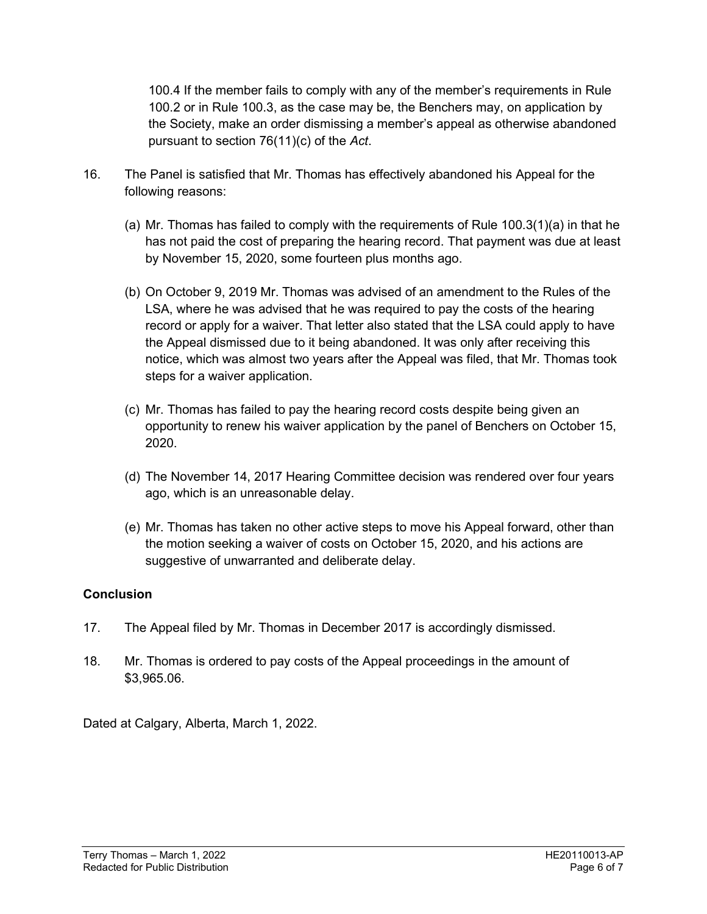100.4 If the member fails to comply with any of the member's requirements in Rule 100.2 or in Rule 100.3, as the case may be, the Benchers may, on application by the Society, make an order dismissing a member's appeal as otherwise abandoned pursuant to section 76(11)(c) of the *Act*.

- 16. The Panel is satisfied that Mr. Thomas has effectively abandoned his Appeal for the following reasons:
	- (a) Mr. Thomas has failed to comply with the requirements of Rule 100.3(1)(a) in that he has not paid the cost of preparing the hearing record. That payment was due at least by November 15, 2020, some fourteen plus months ago.
	- (b) On October 9, 2019 Mr. Thomas was advised of an amendment to the Rules of the LSA, where he was advised that he was required to pay the costs of the hearing record or apply for a waiver. That letter also stated that the LSA could apply to have the Appeal dismissed due to it being abandoned. It was only after receiving this notice, which was almost two years after the Appeal was filed, that Mr. Thomas took steps for a waiver application.
	- (c) Mr. Thomas has failed to pay the hearing record costs despite being given an opportunity to renew his waiver application by the panel of Benchers on October 15, 2020.
	- (d) The November 14, 2017 Hearing Committee decision was rendered over four years ago, which is an unreasonable delay.
	- (e) Mr. Thomas has taken no other active steps to move his Appeal forward, other than the motion seeking a waiver of costs on October 15, 2020, and his actions are suggestive of unwarranted and deliberate delay.

# **Conclusion**

- 17. The Appeal filed by Mr. Thomas in December 2017 is accordingly dismissed.
- 18. Mr. Thomas is ordered to pay costs of the Appeal proceedings in the amount of \$3,965.06.

Dated at Calgary, Alberta, March 1, 2022.